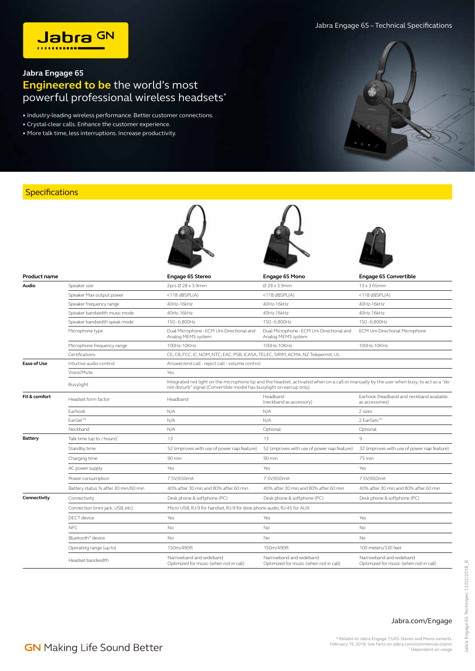Jabra Engage 65 – Technical Specifications



## **Jabra Engage 65 Engineered to be** the world's most powerful professional wireless headsets\*

• Industry-leading wireless performance. Better customer connections.

- Crystal-clear calls. Enhance the customer experience.
- More talk time, less interruptions. Increase productivity.

## **Specifications**

| <b>Product name</b> |                                      | Engage 65 Stereo                                                                                                                                                                                                 | Engage 65 Mono                                                     | <b>Engage 65 Convertible</b>                                       |  |
|---------------------|--------------------------------------|------------------------------------------------------------------------------------------------------------------------------------------------------------------------------------------------------------------|--------------------------------------------------------------------|--------------------------------------------------------------------|--|
| Audio               | Speaker size                         | 2pcs Ø 28 x 3.9mm                                                                                                                                                                                                | Ø 28 x 3.9mm                                                       | $13 \times 3.65$ mm                                                |  |
|                     | Speaker Max output power             | $<$ 118 dBSPL(A)                                                                                                                                                                                                 | <118 $dBSPL(A)$                                                    | $<$ 118 dBSPL(A)                                                   |  |
|                     | Speaker frequency range              | 40Hz-16kHz                                                                                                                                                                                                       | 40Hz-16kHz                                                         | 40Hz-16kHz                                                         |  |
|                     | Speaker bandwidth music mode         | 40Hz-16kHz                                                                                                                                                                                                       | 40Hz-16kHz                                                         | 40Hz-16kHz                                                         |  |
|                     | Speaker bandwidth speak mode         | 150-6,800Hz                                                                                                                                                                                                      | 150-6,800Hz                                                        | 150-6,800Hz                                                        |  |
|                     | Microphone type                      | Dual Microphone - ECM Uni-Directional and<br>Analog MEMS system                                                                                                                                                  | Dual Microphone - ECM Uni-Directional and<br>Analog MEMS system    | ECM Uni-Directional Microphone                                     |  |
|                     | Microphone frequency range           | 100Hz-10KHz                                                                                                                                                                                                      | 100Hz-10KHz                                                        | 100Hz-10KHz                                                        |  |
|                     | Certifications                       | CE, CB, FCC, IC, NOM, NTC, EAC, PSB, ICASA, TELEC, SIRIM, ACMA, NZ Telepermit, UL                                                                                                                                |                                                                    |                                                                    |  |
| <b>Ease of Use</b>  | Intuitive audio control              | Answer/end call - reject call - volume control                                                                                                                                                                   |                                                                    |                                                                    |  |
|                     | Voice/Mute                           | Yes                                                                                                                                                                                                              |                                                                    |                                                                    |  |
|                     | Busylight                            | Integrated red light on the microphone tip and the headset, activated when on a call or manually by the user when busy, to act as a "do<br>not disturb" signal (Convertible model has busylight on earcup only). |                                                                    |                                                                    |  |
| Fit & comfort       | Headset form factor                  | Headband                                                                                                                                                                                                         | Headband<br>(neckband as accessory)                                | Earhook (headband and neckband available<br>as accessories)        |  |
|                     | Earhook                              | N/A                                                                                                                                                                                                              | N/A                                                                | 2 sizes                                                            |  |
|                     | EarGel™                              | N/A                                                                                                                                                                                                              | N/A                                                                | 2 EarGels™                                                         |  |
|                     | Neckband                             | N/A                                                                                                                                                                                                              | Optional                                                           | Optional                                                           |  |
| <b>Battery</b>      | Talk time (up to / hours)            | 13                                                                                                                                                                                                               | 13                                                                 | 9                                                                  |  |
|                     | Standby time                         | 52 (improves with use of power nap feature)                                                                                                                                                                      | 52 (improves with use of power nap feature)                        | 32 (improves with use of power nap feature)                        |  |
|                     | Charging time                        | 90 min                                                                                                                                                                                                           | 90 min                                                             | 75 min                                                             |  |
|                     | AC power supply                      | Yes                                                                                                                                                                                                              | Yes                                                                | Yes                                                                |  |
|                     | Power consumption                    | 7.5V/650mA                                                                                                                                                                                                       | 7.5V/650mA                                                         | 7.5V/650mA                                                         |  |
|                     | Battery status % after 30 min/60 min | 40% after 30 min and 80% after 60 min                                                                                                                                                                            | 40% after 30 min and 80% after 60 min                              | 40% after 30 min and 80% after 60 min                              |  |
| Connectivity        | Connectivity                         | Desk phone & softphone (PC)                                                                                                                                                                                      | Desk phone & softphone (PC)                                        | Desk phone & softphone (PC)                                        |  |
|                     | Connection (mini jack, USB, etc)     | Micro USB, RJ-9 for handset, RJ-9 for desk phone audio, RJ-45 for AUX                                                                                                                                            |                                                                    |                                                                    |  |
|                     | <b>DECT</b> device                   | Yes                                                                                                                                                                                                              | Yes                                                                | Yes                                                                |  |
|                     | <b>NFC</b>                           | No                                                                                                                                                                                                               | No                                                                 | No                                                                 |  |
|                     | Bluetooth® device                    | No                                                                                                                                                                                                               | No                                                                 | No                                                                 |  |
|                     | Operating range (up to)              | 150m/490ft                                                                                                                                                                                                       | 150m/490ft                                                         | 100 meters/330 feet                                                |  |
|                     | Headset bandwidth                    | Narrowband and wideband.<br>Optimized for music (when not in call)                                                                                                                                               | Narrowband and wideband.<br>Optimized for music (when not in call) | Narrowband and wideband.<br>Optimized for music (when not in call) |  |

## Jabra.com/Engage